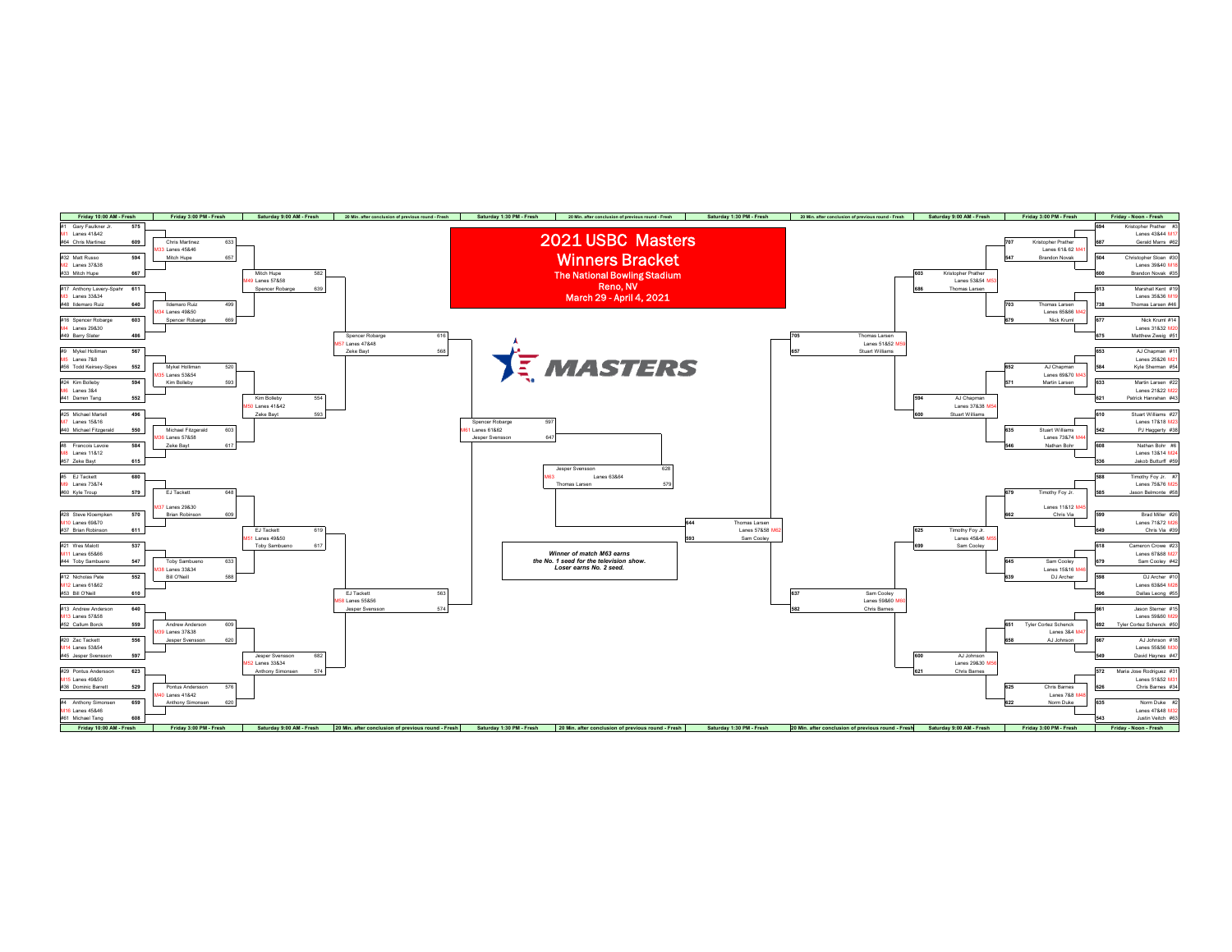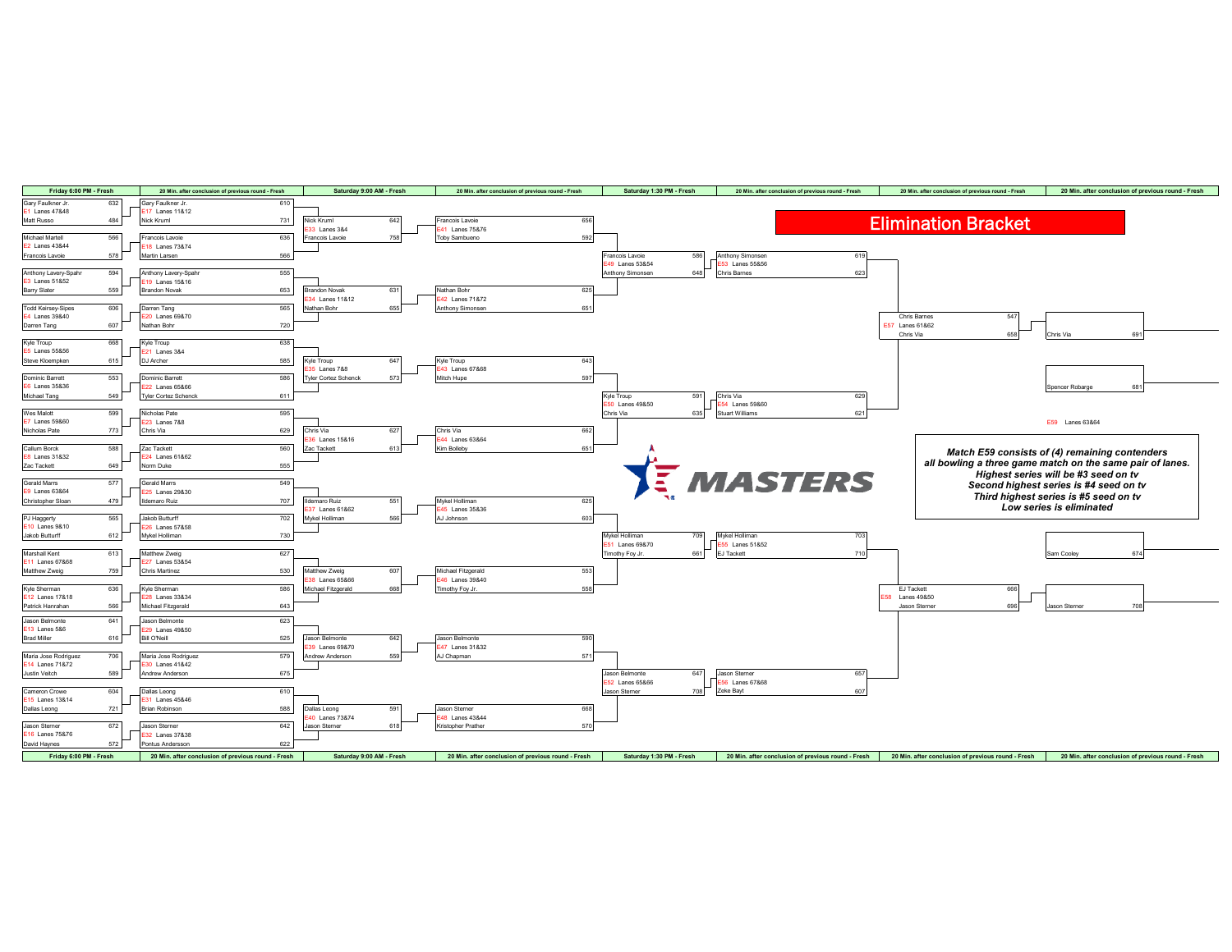